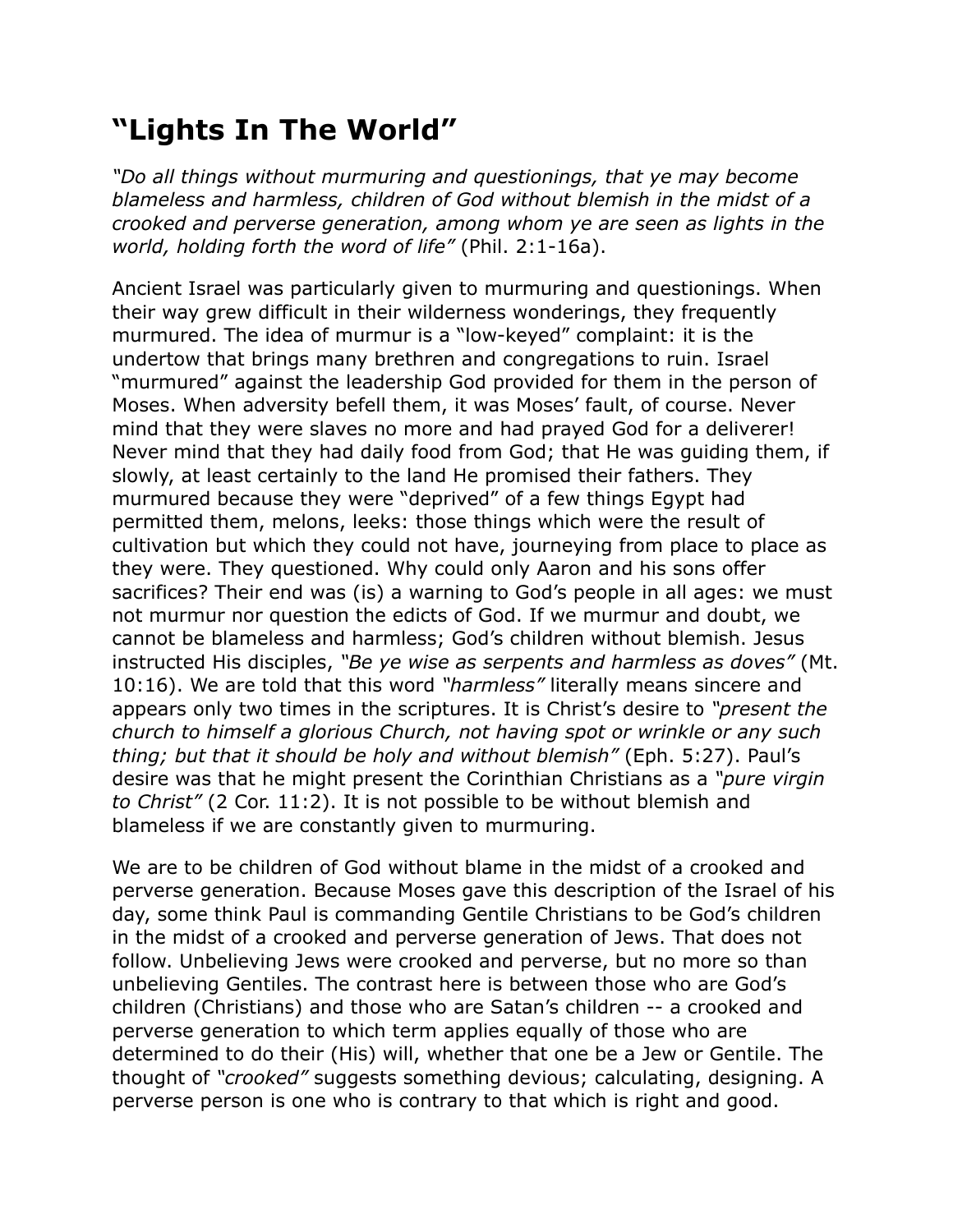## **"Lights In The World"**

*"Do all things without murmuring and questionings, that ye may become blameless and harmless, children of God without blemish in the midst of a crooked and perverse generation, among whom ye are seen as lights in the world, holding forth the word of life"* (Phil. 2:1-16a).

Ancient Israel was particularly given to murmuring and questionings. When their way grew difficult in their wilderness wonderings, they frequently murmured. The idea of murmur is a "low-keyed" complaint: it is the undertow that brings many brethren and congregations to ruin. Israel "murmured" against the leadership God provided for them in the person of Moses. When adversity befell them, it was Moses' fault, of course. Never mind that they were slaves no more and had prayed God for a deliverer! Never mind that they had daily food from God; that He was guiding them, if slowly, at least certainly to the land He promised their fathers. They murmured because they were "deprived" of a few things Egypt had permitted them, melons, leeks: those things which were the result of cultivation but which they could not have, journeying from place to place as they were. They questioned. Why could only Aaron and his sons offer sacrifices? Their end was (is) a warning to God's people in all ages: we must not murmur nor question the edicts of God. If we murmur and doubt, we cannot be blameless and harmless; God's children without blemish. Jesus instructed His disciples, *"Be ye wise as serpents and harmless as doves"* (Mt. 10:16). We are told that this word *"harmless"* literally means sincere and appears only two times in the scriptures. It is Christ's desire to *"present the church to himself a glorious Church, not having spot or wrinkle or any such thing; but that it should be holy and without blemish"* (Eph. 5:27). Paul's desire was that he might present the Corinthian Christians as a *"pure virgin to Christ"* (2 Cor. 11:2). It is not possible to be without blemish and blameless if we are constantly given to murmuring.

We are to be children of God without blame in the midst of a crooked and perverse generation. Because Moses gave this description of the Israel of his day, some think Paul is commanding Gentile Christians to be God's children in the midst of a crooked and perverse generation of Jews. That does not follow. Unbelieving Jews were crooked and perverse, but no more so than unbelieving Gentiles. The contrast here is between those who are God's children (Christians) and those who are Satan's children -- a crooked and perverse generation to which term applies equally of those who are determined to do their (His) will, whether that one be a Jew or Gentile. The thought of *"crooked"* suggests something devious; calculating, designing. A perverse person is one who is contrary to that which is right and good.